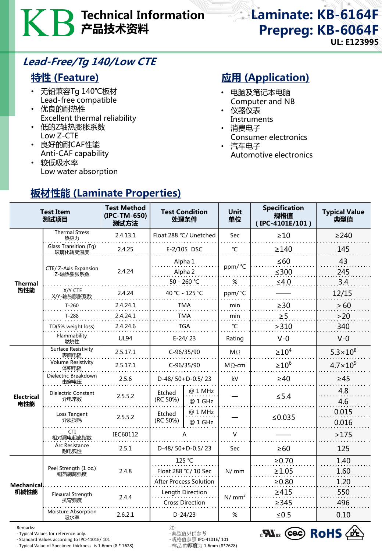# Technical Information 产品技术资料

## Laminate: KB-6164F Prepreg: KB-6064F UL: E123995

### Lead-Free/Tg 140/Low CTE

### 特性 (Feature)

- 无铅兼容Tg 140℃板材 Lead-free compatible
- 优良的耐热性 Excellent thermal reliability
- 低的Z轴热膨胀系数 Low Z-CTE
- 良好的耐CAF性能 Anti-CAF capability
- 较低吸水率 Low water absorption

板材性能 (Laminate Properties)

## **应用 (Application)**

- 电脑及笔记本电脑 Computer and NB
- 仪器仪表 **Instruments**
- 消费电子
- Consumer electronics
- 汽车电子 Automotive electronics

| <b>Test Item</b><br>测试项目  |                                   | <b>Test Method</b><br>(IPC-TM-650)<br>测试方法 | <b>Test Condition</b><br>处理条件  |                     | <b>Unit</b><br>单位 | <b>Specification</b><br>规格值<br>(IPC-4101E/101) | <b>Typical Value</b><br>典型值 |
|---------------------------|-----------------------------------|--------------------------------------------|--------------------------------|---------------------|-------------------|------------------------------------------------|-----------------------------|
|                           | <b>Thermal Stress</b><br>热应力      | 2.4.13.1                                   | Float 288 °C/ Unetched         |                     | Sec               | $\geq 10$                                      | $\geq$ 240                  |
| <b>Thermal</b><br>热性能     | Glass Transition (Tg)<br>玻璃化转变温度  | 2.4.25                                     | E-2/105 DSC                    |                     | °C                | $\geq$ 140                                     | 145                         |
|                           | CTE/ Z-Axis Expansion<br>Z-轴热膨胀系数 | 2.4.24                                     | Alpha 1<br>Alpha 2             |                     | ppm/ °C           | $\leq 60$<br>$≤300$                            | 43<br>245                   |
|                           |                                   |                                            | 50 - 260 ℃                     |                     | %                 | $\leq 4.0$                                     | 3.4                         |
|                           | X/Y CTE<br>X/Y-轴热膨胀系数             | 2.4.24                                     | 40 °C - 125 °C                 |                     | ppm/°C            |                                                | 12/15                       |
|                           | $T-260$                           | 2.4.24.1                                   | <b>TMA</b>                     |                     | min               | $\geq$ 30                                      | > 60                        |
|                           | $T-288$                           | 2.4.24.1                                   | <b>TMA</b>                     |                     | min               | $\geq 5$                                       | $>20$                       |
|                           | TD(5% weight loss)                | 2.4.24.6                                   | <b>TGA</b>                     |                     | °C                | >310                                           | 340                         |
|                           | Flammability<br>燃烧性               | <b>UL94</b>                                | $E-24/23$                      |                     | Rating            | $V - 0$                                        | $V-0$                       |
| <b>Electrical</b><br>电性能  | Surface Resistivity<br>表面电阻       | 2.5.17.1                                   | C-96/35/90                     |                     | $M\Omega$         | $\geq 10^4$                                    | $5.3 \times 10^8$           |
|                           | <b>Volume Resistivity</b><br>体积电阻 | 2.5.17.1                                   | C-96/35/90                     |                     | $M\Omega$ -cm     | $\geq 10^6$                                    | $4.7 \times 10^{9}$         |
|                           | Dielectric Breakdown<br>击穿电压      | 2.5.6                                      | $D-48/50+D-0.5/23$             |                     | kV                | $\geq 40$                                      | $\geq 45$                   |
|                           | Dielectric Constant<br>介电常数       | 2.5.5.2                                    | Etched<br>(RC 50%)             | @ 1 MHz<br>@ 1 GHz  |                   | $\leq$ 5.4                                     | 4.8<br>4.6                  |
|                           | Loss Tangent<br>介质损耗              | 2.5.5.2                                    | Etched<br>(RC 50%)             | $@1$ MHz<br>@ 1 GHz |                   | ≤ $0.035$                                      | 0.015<br>0.016              |
|                           | CTI<br>相对漏电起痕指数                   | IEC60112                                   | D-48/50+D-0.5/23               |                     | $\vee$            |                                                | >175                        |
|                           | Arc Resistance<br>耐电弧性            | 2.5.1                                      |                                |                     | Sec               | $\geq 60$                                      | 125                         |
| <b>Mechanical</b><br>机械性能 | Peel Strength (1 oz.)<br>铜箔剥离强度   | 2.4.8                                      | 125 °C<br>Float 288 °C/ 10 Sec |                     | N/mm              | ≥0.70                                          | 1.40                        |
|                           |                                   |                                            |                                |                     |                   | $\geq 1.05$                                    | 1.60                        |
|                           |                                   |                                            | <b>After Process Solution</b>  |                     |                   | $\geq 0.80$                                    | 1.20                        |
|                           | Flexural Strength                 | 2.4.4                                      | Length Direction               |                     | N/mm <sup>2</sup> | $\geq 415$                                     | 550                         |
|                           | 抗弯强度                              |                                            | <b>Cross Direction</b>         |                     |                   | $\geq$ 345                                     | 496                         |
|                           | Moisture Absorption<br>吸水率        | 2.6.2.1                                    | $D-24/23$                      |                     | %                 | $≤0.5$                                         | 0.10                        |

Remarks: 注:

- Typical Values for reference only. - 典型值只供参考

- Standard Values according to IPC-4101E/ 101 - 规格值参照 IPC-4101E/ 101 - Typical Value of Specimen thickness is 1.6mm (8 \* 7628)